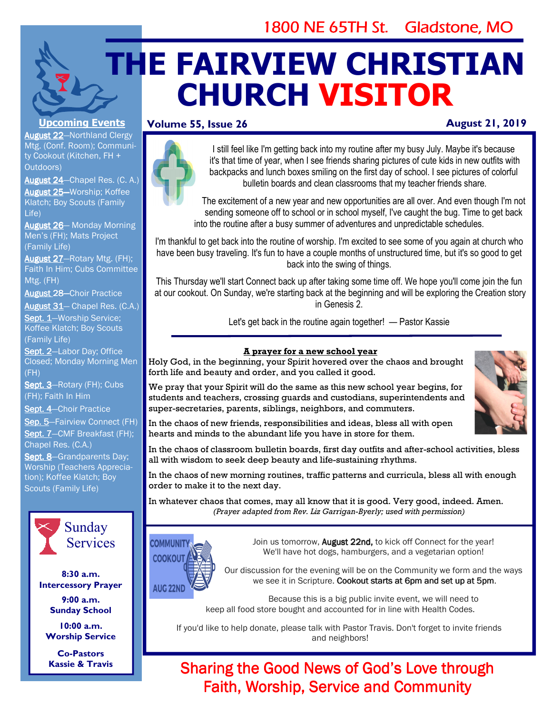# 1800 NE 65TH St. Gladstone, MO

# **THE FAIRVIEW CHRISTIAN CHURCH VISITOR**

## **Volume 55, Issue 26**

# **August 21, 2019**

#### **Upcoming Events**

**August 22-Northland Clergy** Mtg. (Conf. Room); Community Cookout (Kitchen, FH + Outdoors)

August 24-Chapel Res. (C. A.) August 25-Worship; Koffee Klatch; Boy Scouts (Family Life)

August 26-Monday Morning Men's (FH); Mats Project (Family Life)

August 27-Rotary Mtg. (FH); Faith In Him; Cubs Committee Mtg. (FH)

August 28-Choir Practice

August 31-Chapel Res. (C.A.)

Sept. 1-Worship Service; Koffee Klatch; Boy Scouts (Family Life)

Sept. 2-Labor Day; Office Closed; Monday Morning Men (FH)

Sept. 3-Rotary (FH); Cubs (FH); Faith In Him

Sept. 4-Choir Practice

Sep. 5-Fairview Connect (FH) Sept. 7-CMF Breakfast (FH); Chapel Res. (C.A.)

Sept. 8-Grandparents Day; Worship (Teachers Appreciation); Koffee Klatch; Boy Scouts (Family Life)



**8:30 a.m. Intercessory Prayer** 

**9:00 a.m. Sunday School** 

**10:00 a.m. Worship Service** 

**Co-Pastors Kassie & Travis** 



I still feel like I'm getting back into my routine after my busy July. Maybe it's because it's that time of year, when I see friends sharing pictures of cute kids in new outfits with backpacks and lunch boxes smiling on the first day of school. I see pictures of colorful bulletin boards and clean classrooms that my teacher friends share.

The excitement of a new year and new opportunities are all over. And even though I'm not sending someone off to school or in school myself, I've caught the bug. Time to get back into the routine after a busy summer of adventures and unpredictable schedules.

I'm thankful to get back into the routine of worship. I'm excited to see some of you again at church who have been busy traveling. It's fun to have a couple months of unstructured time, but it's so good to get back into the swing of things.

This Thursday we'll start Connect back up after taking some time off. We hope you'll come join the fun at our cookout. On Sunday, we're starting back at the beginning and will be exploring the Creation story in Genesis 2.

Let's get back in the routine again together! — Pastor Kassie

#### **A prayer for a new school year**

Holy God, in the beginning, your Spirit hovered over the chaos and brought forth life and beauty and order, and you called it good.

We pray that your Spirit will do the same as this new school year begins, for students and teachers, crossing guards and custodians, superintendents and super-secretaries, parents, siblings, neighbors, and commuters.



In the chaos of new friends, responsibilities and ideas, bless all with open hearts and minds to the abundant life you have in store for them.

In the chaos of classroom bulletin boards, first day outfits and after-school activities, bless all with wisdom to seek deep beauty and life-sustaining rhythms.

In the chaos of new morning routines, traffic patterns and curricula, bless all with enough order to make it to the next day.

In whatever chaos that comes, may all know that it is good. Very good, indeed. Amen. *(Prayer adapted from Rev. Liz Garrigan-Byerly; used with permission)*



Join us tomorrow, August 22nd, to kick off Connect for the year! We'll have hot dogs, hamburgers, and a vegetarian option!

**AUG 22ND** 

Our discussion for the evening will be on the Community we form and the ways we see it in Scripture. Cookout starts at 6pm and set up at 5pm.

Because this is a big public invite event, we will need to keep all food store bought and accounted for in line with Health Codes.

If you'd like to help donate, please talk with Pastor Travis. Don't forget to invite friends and neighbors!

# Sharing the Good News of God's Love through Faith, Worship, Service and Community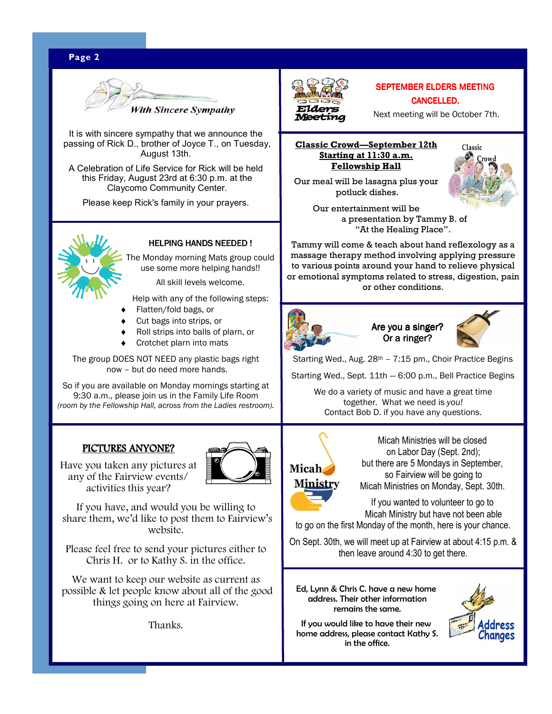# **Page 2** WWW. **Page 2** WWW. **Page 2** WWW. **Page 2** WWW. **Page 2** WWW. **Page 2**



It is with sincere sympathy that we announce the passing of Rick D., brother of Joyce T., on Tuesday, August 13th.

A Celebration of Life Service for Rick will be held this Friday, August 23rd at 6:30 p.m. at the Claycomo Community Center.

Please keep Rick's family in your prayers.



#### HELPING HANDS NEEDED !

The Monday morning Mats group could use some more helping hands!!

All skill levels welcome.

Help with any of the following steps:

- Flatten/fold bags, or
- Cut bags into strips, or
- Roll strips into balls of plarn, or
- Crotchet plarn into mats

The group DOES NOT NEED any plastic bags right now – but do need more hands.

So if you are available on Monday mornings starting at 9:30 a.m., please join us in the Family Life Room *(room by the Fellowship Hall, across from the Ladies restroom).* 

## PICTURES ANYONE?

Have you taken any pictures at any of the Fairview events/ activities this year?

If you have, and would you be willing to share them, we'd like to post them to Fairview's website.

Please feel free to send your pictures either to Chris H. or to Kathy S. in the office.

We want to keep our website as current as possible & let people know about all of the good things going on here at Fairview.

Thanks.



#### SEPTEMBER ELDERS MEETING CANCELLED.

Next meeting will be October 7th.

#### **Classic Crowd—September 12th Starting at 11:30 a.m. Fellowship Hall**

Our meal will be lasagna plus your

Classic

 potluck dishes. Our entertainment will be

 a presentation by Tammy B. of "At the Healing Place".

Tammy will come & teach about hand reflexology as a massage therapy method involving applying pressure to various points around your hand to relieve physical or emotional symptoms related to stress, digestion, pain or other conditions.



Are you a singer? Or a ringer?



Starting Wed., Aug. 28<sup>th</sup> - 7:15 pm., Choir Practice Begins

Starting Wed., Sept. 11th — 6:00 p.m., Bell Practice Begins

 We do a variety of music and have a great time together. What we need is *you!*  Contact Bob D. if you have any questions.



Micah Ministries will be closed on Labor Day (Sept. 2nd); but there are 5 Mondays in September, so Fairview will be going to Micah Ministries on Monday, Sept. 30th.

If you wanted to volunteer to go to Micah Ministry but have not been able

to go on the first Monday of the month, here is your chance.

On Sept. 30th, we will meet up at Fairview at about 4:15 p.m. & then leave around 4:30 to get there.

Ed, Lynn & Chris C. have a new home address. Their other information remains the same.

If you would like to have their new home address, please contact Kathy S. in the office.